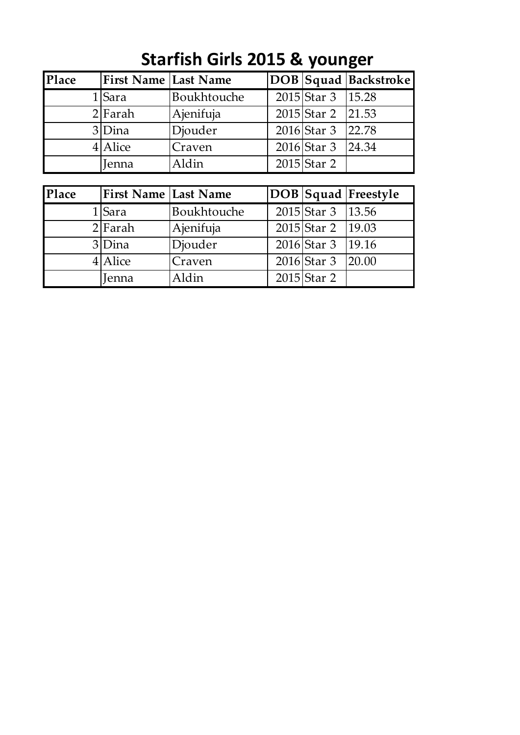| Place | <b>First Name Last Name</b> |             |                     | DOB   Squad   Backstroke |
|-------|-----------------------------|-------------|---------------------|--------------------------|
|       | 1 Sara                      | Boukhtouche | 2015 Star 3   15.28 |                          |
|       | $2$  Farah                  | Ajenifuja   | 2015 Star 2 21.53   |                          |
|       | 3Dina                       | Djouder     | $2016$ Star 3       | 22.78                    |
|       | $4$ Alice                   | Craven      | $2016$ Star 3       | 24.34                    |
|       | Jenna                       | Aldin       | $2015$ Star 2       |                          |

## **Starfish Girls 2015 & younger**

| Place | <b>First Name Last Name</b> |             |                     | <b>DOB</b> Squad Freestyle |
|-------|-----------------------------|-------------|---------------------|----------------------------|
|       | 1 Sara                      | Boukhtouche | 2015 Star 3   13.56 |                            |
|       | $2$ Farah                   | Ajenifuja   | 2015 Star 2 19.03   |                            |
|       | 3Dina                       | Djouder     | 2016 Star 3   19.16 |                            |
|       | 4 Alice                     | Craven      | $2016$ Star 3       | 20.00                      |
|       | Jenna                       | Aldin       | $2015$ Star 2       |                            |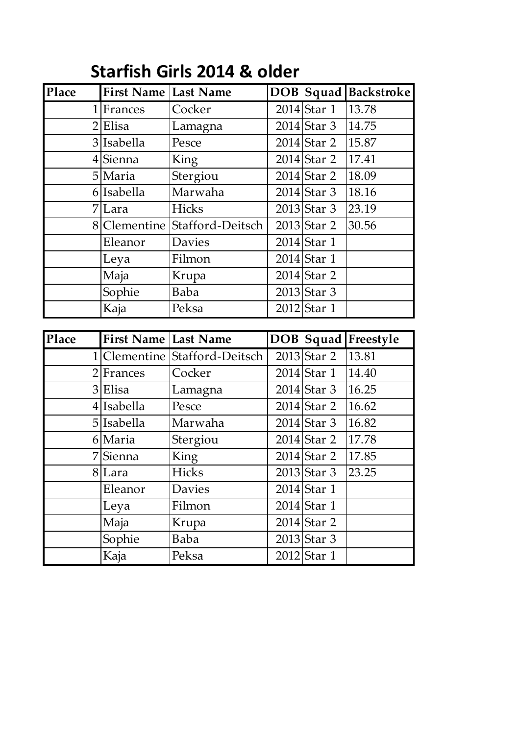| Place          | <b>First Name Last Name</b> |                  |               | <b>DOB Squad Backstroke</b> |
|----------------|-----------------------------|------------------|---------------|-----------------------------|
|                | $1$ Frances                 | Cocker           | $2014$ Star 1 | 13.78                       |
| 2 <sup>1</sup> | Elisa                       | Lamagna          | $2014$ Star 3 | 14.75                       |
|                | 3 Isabella                  | Pesce            | 2014 Star 2   | 15.87                       |
|                | 4 Sienna                    | <b>King</b>      | $2014$ Star 2 | 17.41                       |
|                | 5 Maria                     | Stergiou         | $2014$ Star 2 | 18.09                       |
|                | 6 Isabella                  | Marwaha          | $2014$ Star 3 | 18.16                       |
|                | 7 Lara                      | Hicks            | $2013$ Star 3 | 23.19                       |
|                | 8 Clementine                | Stafford-Deitsch | $2013$ Star 2 | 30.56                       |
|                | Eleanor                     | <b>Davies</b>    | 2014 Star 1   |                             |
|                | Leya                        | Filmon           | 2014 Star 1   |                             |
|                | Maja                        | Krupa            | $2014$ Star 2 |                             |
|                | Sophie                      | Baba             | $2013$ Star 3 |                             |
|                | Kaja                        | Peksa            | 2012 Star 1   |                             |
|                |                             |                  |               |                             |
|                |                             |                  |               |                             |
| Place          | <b>First Name Last Name</b> |                  |               | <b>DOB</b> Squad Freestyle  |
|                | 1 Clementine                | Stafford-Deitsch | $2013$ Star 2 | 13.81                       |
|                | $2$ Frances                 | Cocker           | $2014$ Star 1 | 14.40                       |
|                | $3$ Elisa                   | Lamagna          | $2014$ Star 3 | 16.25                       |
|                | $4$ Isabella                | Pesce            | $2014$ Star 2 | 16.62                       |
|                | $5$  Isabella               | Marwaha          | $2014$ Star 3 | 16.82                       |
|                | 6 Maria                     | Stergiou         | $2014$ Star 2 | 17.78                       |
|                | 7Sienna                     | King             | $2014$ Star 2 | 17.85                       |
|                | 8 Lara                      | Hicks            | 2013 Star 3   | 23.25                       |
|                | Eleanor                     | Davies           | $2014$ Star 1 |                             |
|                | Leya                        | Filmon           | 2014 Star 1   |                             |
|                | Maja                        | Krupa            | $2014$ Star 2 |                             |
|                | Sophie                      | Baba             | $2013$ Star 3 |                             |

## **Starfish Girls 2014 & older**